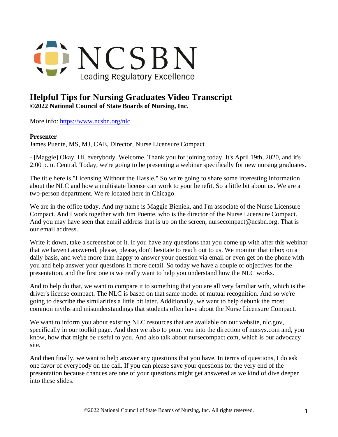

## **Helpful Tips for Nursing Graduates Video Transcript**

**©2022 National Council of State Boards of Nursing, Inc.** 

More info: <https://www.ncsbn.org/nlc>

## **Presenter**

James Puente, MS, MJ, CAE, Director, Nurse Licensure Compact

- [Maggie] Okay. Hi, everybody. Welcome. Thank you for joining today. It's April 19th, 2020, and it's 2:00 p.m. Central. Today, we're going to be presenting a webinar specifically for new nursing graduates.

The title here is "Licensing Without the Hassle." So we're going to share some interesting information about the NLC and how a multistate license can work to your benefit. So a little bit about us. We are a two-person department. We're located here in Chicago.

We are in the office today. And my name is Maggie Bieniek, and I'm associate of the Nurse Licensure Compact. And I work together with Jim Puente, who is the director of the Nurse Licensure Compact. And you may have seen that email address that is up on the screen, nursecompact@ncsbn.org. That is our email address.

Write it down, take a screenshot of it. If you have any questions that you come up with after this webinar that we haven't answered, please, please, don't hesitate to reach out to us. We monitor that inbox on a daily basis, and we're more than happy to answer your question via email or even get on the phone with you and help answer your questions in more detail. So today we have a couple of objectives for the presentation, and the first one is we really want to help you understand how the NLC works.

And to help do that, we want to compare it to something that you are all very familiar with, which is the driver's license compact. The NLC is based on that same model of mutual recognition. And so we're going to describe the similarities a little bit later. Additionally, we want to help debunk the most common myths and misunderstandings that students often have about the Nurse Licensure Compact.

We want to inform you about existing NLC resources that are available on our website, nlc.gov, specifically in our toolkit page. And then we also to point you into the direction of nursys.com and, you know, how that might be useful to you. And also talk about nursecompact.com, which is our advocacy site.

And then finally, we want to help answer any questions that you have. In terms of questions, I do ask one favor of everybody on the call. If you can please save your questions for the very end of the presentation because chances are one of your questions might get answered as we kind of dive deeper into these slides.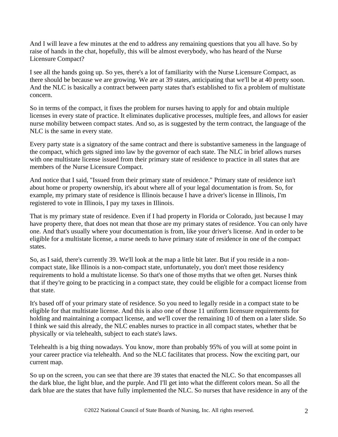And I will leave a few minutes at the end to address any remaining questions that you all have. So by raise of hands in the chat, hopefully, this will be almost everybody, who has heard of the Nurse Licensure Compact?

I see all the hands going up. So yes, there's a lot of familiarity with the Nurse Licensure Compact, as there should be because we are growing. We are at 39 states, anticipating that we'll be at 40 pretty soon. And the NLC is basically a contract between party states that's established to fix a problem of multistate concern.

So in terms of the compact, it fixes the problem for nurses having to apply for and obtain multiple licenses in every state of practice. It eliminates duplicative processes, multiple fees, and allows for easier nurse mobility between compact states. And so, as is suggested by the term contract, the language of the NLC is the same in every state.

Every party state is a signatory of the same contract and there is substantive sameness in the language of the compact, which gets signed into law by the governor of each state. The NLC in brief allows nurses with one multistate license issued from their primary state of residence to practice in all states that are members of the Nurse Licensure Compact.

And notice that I said, "Issued from their primary state of residence." Primary state of residence isn't about home or property ownership, it's about where all of your legal documentation is from. So, for example, my primary state of residence is Illinois because I have a driver's license in Illinois, I'm registered to vote in Illinois, I pay my taxes in Illinois.

That is my primary state of residence. Even if I had property in Florida or Colorado, just because I may have property there, that does not mean that those are my primary states of residence. You can only have one. And that's usually where your documentation is from, like your driver's license. And in order to be eligible for a multistate license, a nurse needs to have primary state of residence in one of the compact states.

So, as I said, there's currently 39. We'll look at the map a little bit later. But if you reside in a noncompact state, like Illinois is a non-compact state, unfortunately, you don't meet those residency requirements to hold a multistate license. So that's one of those myths that we often get. Nurses think that if they're going to be practicing in a compact state, they could be eligible for a compact license from that state.

It's based off of your primary state of residence. So you need to legally reside in a compact state to be eligible for that multistate license. And this is also one of those 11 uniform licensure requirements for holding and maintaining a compact license, and we'll cover the remaining 10 of them on a later slide. So I think we said this already, the NLC enables nurses to practice in all compact states, whether that be physically or via telehealth, subject to each state's laws.

Telehealth is a big thing nowadays. You know, more than probably 95% of you will at some point in your career practice via telehealth. And so the NLC facilitates that process. Now the exciting part, our current map.

So up on the screen, you can see that there are 39 states that enacted the NLC. So that encompasses all the dark blue, the light blue, and the purple. And I'll get into what the different colors mean. So all the dark blue are the states that have fully implemented the NLC. So nurses that have residence in any of the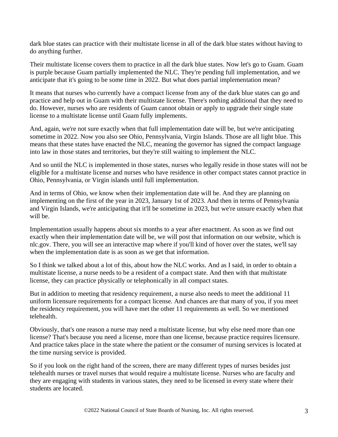dark blue states can practice with their multistate license in all of the dark blue states without having to do anything further.

Their multistate license covers them to practice in all the dark blue states. Now let's go to Guam. Guam is purple because Guam partially implemented the NLC. They're pending full implementation, and we anticipate that it's going to be some time in 2022. But what does partial implementation mean?

It means that nurses who currently have a compact license from any of the dark blue states can go and practice and help out in Guam with their multistate license. There's nothing additional that they need to do. However, nurses who are residents of Guam cannot obtain or apply to upgrade their single state license to a multistate license until Guam fully implements.

And, again, we're not sure exactly when that full implementation date will be, but we're anticipating sometime in 2022. Now you also see Ohio, Pennsylvania, Virgin Islands. Those are all light blue. This means that these states have enacted the NLC, meaning the governor has signed the compact language into law in those states and territories, but they're still waiting to implement the NLC.

And so until the NLC is implemented in those states, nurses who legally reside in those states will not be eligible for a multistate license and nurses who have residence in other compact states cannot practice in Ohio, Pennsylvania, or Virgin islands until full implementation.

And in terms of Ohio, we know when their implementation date will be. And they are planning on implementing on the first of the year in 2023, January 1st of 2023. And then in terms of Pennsylvania and Virgin Islands, we're anticipating that it'll be sometime in 2023, but we're unsure exactly when that will be.

Implementation usually happens about six months to a year after enactment. As soon as we find out exactly when their implementation date will be, we will post that information on our website, which is nlc.gov. There, you will see an interactive map where if you'll kind of hover over the states, we'll say when the implementation date is as soon as we get that information.

So I think we talked about a lot of this, about how the NLC works. And as I said, in order to obtain a multistate license, a nurse needs to be a resident of a compact state. And then with that multistate license, they can practice physically or telephonically in all compact states.

But in addition to meeting that residency requirement, a nurse also needs to meet the additional 11 uniform licensure requirements for a compact license. And chances are that many of you, if you meet the residency requirement, you will have met the other 11 requirements as well. So we mentioned telehealth.

Obviously, that's one reason a nurse may need a multistate license, but why else need more than one license? That's because you need a license, more than one license, because practice requires licensure. And practice takes place in the state where the patient or the consumer of nursing services is located at the time nursing service is provided.

So if you look on the right hand of the screen, there are many different types of nurses besides just telehealth nurses or travel nurses that would require a multistate license. Nurses who are faculty and they are engaging with students in various states, they need to be licensed in every state where their students are located.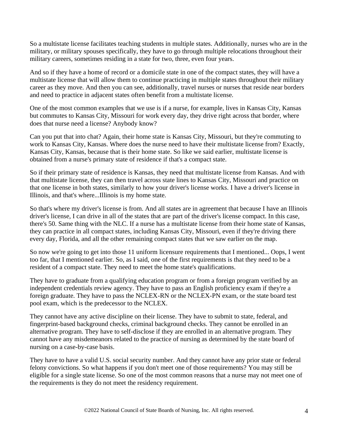So a multistate license facilitates teaching students in multiple states. Additionally, nurses who are in the military, or military spouses specifically, they have to go through multiple relocations throughout their military careers, sometimes residing in a state for two, three, even four years.

And so if they have a home of record or a domicile state in one of the compact states, they will have a multistate license that will allow them to continue practicing in multiple states throughout their military career as they move. And then you can see, additionally, travel nurses or nurses that reside near borders and need to practice in adjacent states often benefit from a multistate license.

One of the most common examples that we use is if a nurse, for example, lives in Kansas City, Kansas but commutes to Kansas City, Missouri for work every day, they drive right across that border, where does that nurse need a license? Anybody know?

Can you put that into chat? Again, their home state is Kansas City, Missouri, but they're commuting to work to Kansas City, Kansas. Where does the nurse need to have their multistate license from? Exactly, Kansas City, Kansas, because that is their home state. So like we said earlier, multistate license is obtained from a nurse's primary state of residence if that's a compact state.

So if their primary state of residence is Kansas, they need that multistate license from Kansas. And with that multistate license, they can then travel across state lines to Kansas City, Missouri and practice on that one license in both states, similarly to how your driver's license works. I have a driver's license in Illinois, and that's where...Illinois is my home state.

So that's where my driver's license is from. And all states are in agreement that because I have an Illinois driver's license, I can drive in all of the states that are part of the driver's license compact. In this case, there's 50. Same thing with the NLC. If a nurse has a multistate license from their home state of Kansas, they can practice in all compact states, including Kansas City, Missouri, even if they're driving there every day, Florida, and all the other remaining compact states that we saw earlier on the map.

So now we're going to get into those 11 uniform licensure requirements that I mentioned... Oops, I went too far, that I mentioned earlier. So, as I said, one of the first requirements is that they need to be a resident of a compact state. They need to meet the home state's qualifications.

They have to graduate from a qualifying education program or from a foreign program verified by an independent credentials review agency. They have to pass an English proficiency exam if they're a foreign graduate. They have to pass the NCLEX-RN or the NCLEX-PN exam, or the state board test pool exam, which is the predecessor to the NCLEX.

They cannot have any active discipline on their license. They have to submit to state, federal, and fingerprint-based background checks, criminal background checks. They cannot be enrolled in an alternative program. They have to self-disclose if they are enrolled in an alternative program. They cannot have any misdemeanors related to the practice of nursing as determined by the state board of nursing on a case-by-case basis.

They have to have a valid U.S. social security number. And they cannot have any prior state or federal felony convictions. So what happens if you don't meet one of those requirements? You may still be eligible for a single state license. So one of the most common reasons that a nurse may not meet one of the requirements is they do not meet the residency requirement.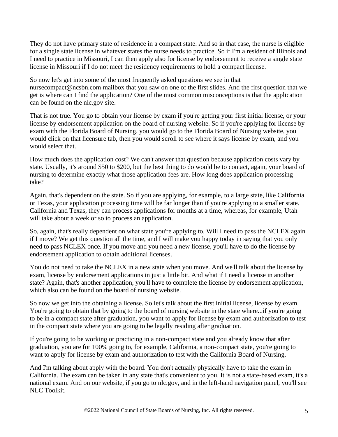They do not have primary state of residence in a compact state. And so in that case, the nurse is eligible for a single state license in whatever states the nurse needs to practice. So if I'm a resident of Illinois and I need to practice in Missouri, I can then apply also for license by endorsement to receive a single state license in Missouri if I do not meet the residency requirements to hold a compact license.

So now let's get into some of the most frequently asked questions we see in that nursecompact@ncsbn.com mailbox that you saw on one of the first slides. And the first question that we get is where can I find the application? One of the most common misconceptions is that the application can be found on the nlc.gov site.

That is not true. You go to obtain your license by exam if you're getting your first initial license, or your license by endorsement application on the board of nursing website. So if you're applying for license by exam with the Florida Board of Nursing, you would go to the Florida Board of Nursing website, you would click on that licensure tab, then you would scroll to see where it says license by exam, and you would select that.

How much does the application cost? We can't answer that question because application costs vary by state. Usually, it's around \$50 to \$200, but the best thing to do would be to contact, again, your board of nursing to determine exactly what those application fees are. How long does application processing take?

Again, that's dependent on the state. So if you are applying, for example, to a large state, like California or Texas, your application processing time will be far longer than if you're applying to a smaller state. California and Texas, they can process applications for months at a time, whereas, for example, Utah will take about a week or so to process an application.

So, again, that's really dependent on what state you're applying to. Will I need to pass the NCLEX again if I move? We get this question all the time, and I will make you happy today in saying that you only need to pass NCLEX once. If you move and you need a new license, you'll have to do the license by endorsement application to obtain additional licenses.

You do not need to take the NCLEX in a new state when you move. And we'll talk about the license by exam, license by endorsement applications in just a little bit. And what if I need a license in another state? Again, that's another application, you'll have to complete the license by endorsement application, which also can be found on the board of nursing website.

So now we get into the obtaining a license. So let's talk about the first initial license, license by exam. You're going to obtain that by going to the board of nursing website in the state where...if you're going to be in a compact state after graduation, you want to apply for license by exam and authorization to test in the compact state where you are going to be legally residing after graduation.

If you're going to be working or practicing in a non-compact state and you already know that after graduation, you are for 100% going to, for example, California, a non-compact state, you're going to want to apply for license by exam and authorization to test with the California Board of Nursing.

And I'm talking about apply with the board. You don't actually physically have to take the exam in California. The exam can be taken in any state that's convenient to you. It is not a state-based exam, it's a national exam. And on our website, if you go to nlc.gov, and in the left-hand navigation panel, you'll see NLC Toolkit.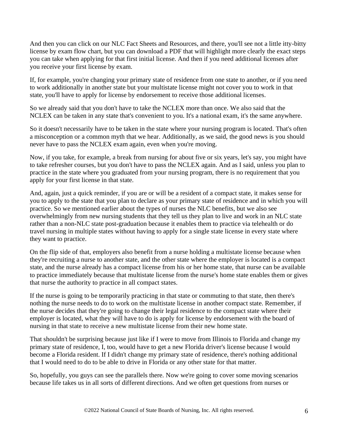And then you can click on our NLC Fact Sheets and Resources, and there, you'll see not a little itty-bitty license by exam flow chart, but you can download a PDF that will highlight more clearly the exact steps you can take when applying for that first initial license. And then if you need additional licenses after you receive your first license by exam.

If, for example, you're changing your primary state of residence from one state to another, or if you need to work additionally in another state but your multistate license might not cover you to work in that state, you'll have to apply for license by endorsement to receive those additional licenses.

So we already said that you don't have to take the NCLEX more than once. We also said that the NCLEX can be taken in any state that's convenient to you. It's a national exam, it's the same anywhere.

So it doesn't necessarily have to be taken in the state where your nursing program is located. That's often a misconception or a common myth that we hear. Additionally, as we said, the good news is you should never have to pass the NCLEX exam again, even when you're moving.

Now, if you take, for example, a break from nursing for about five or six years, let's say, you might have to take refresher courses, but you don't have to pass the NCLEX again. And as I said, unless you plan to practice in the state where you graduated from your nursing program, there is no requirement that you apply for your first license in that state.

And, again, just a quick reminder, if you are or will be a resident of a compact state, it makes sense for you to apply to the state that you plan to declare as your primary state of residence and in which you will practice. So we mentioned earlier about the types of nurses the NLC benefits, but we also see overwhelmingly from new nursing students that they tell us they plan to live and work in an NLC state rather than a non-NLC state post-graduation because it enables them to practice via telehealth or do travel nursing in multiple states without having to apply for a single state license in every state where they want to practice.

On the flip side of that, employers also benefit from a nurse holding a multistate license because when they're recruiting a nurse to another state, and the other state where the employer is located is a compact state, and the nurse already has a compact license from his or her home state, that nurse can be available to practice immediately because that multistate license from the nurse's home state enables them or gives that nurse the authority to practice in all compact states.

If the nurse is going to be temporarily practicing in that state or commuting to that state, then there's nothing the nurse needs to do to work on the multistate license in another compact state. Remember, if the nurse decides that they're going to change their legal residence to the compact state where their employer is located, what they will have to do is apply for license by endorsement with the board of nursing in that state to receive a new multistate license from their new home state.

That shouldn't be surprising because just like if I were to move from Illinois to Florida and change my primary state of residence, I, too, would have to get a new Florida driver's license because I would become a Florida resident. If I didn't change my primary state of residence, there's nothing additional that I would need to do to be able to drive in Florida or any other state for that matter.

So, hopefully, you guys can see the parallels there. Now we're going to cover some moving scenarios because life takes us in all sorts of different directions. And we often get questions from nurses or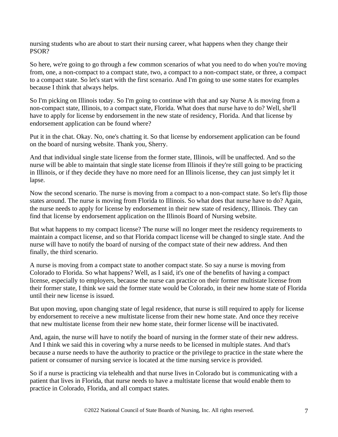nursing students who are about to start their nursing career, what happens when they change their PSOR?

So here, we're going to go through a few common scenarios of what you need to do when you're moving from, one, a non-compact to a compact state, two, a compact to a non-compact state, or three, a compact to a compact state. So let's start with the first scenario. And I'm going to use some states for examples because I think that always helps.

So I'm picking on Illinois today. So I'm going to continue with that and say Nurse A is moving from a non-compact state, Illinois, to a compact state, Florida. What does that nurse have to do? Well, she'll have to apply for license by endorsement in the new state of residency, Florida. And that license by endorsement application can be found where?

Put it in the chat. Okay. No, one's chatting it. So that license by endorsement application can be found on the board of nursing website. Thank you, Sherry.

And that individual single state license from the former state, Illinois, will be unaffected. And so the nurse will be able to maintain that single state license from Illinois if they're still going to be practicing in Illinois, or if they decide they have no more need for an Illinois license, they can just simply let it lapse.

Now the second scenario. The nurse is moving from a compact to a non-compact state. So let's flip those states around. The nurse is moving from Florida to Illinois. So what does that nurse have to do? Again, the nurse needs to apply for license by endorsement in their new state of residency, Illinois. They can find that license by endorsement application on the Illinois Board of Nursing website.

But what happens to my compact license? The nurse will no longer meet the residency requirements to maintain a compact license, and so that Florida compact license will be changed to single state. And the nurse will have to notify the board of nursing of the compact state of their new address. And then finally, the third scenario.

A nurse is moving from a compact state to another compact state. So say a nurse is moving from Colorado to Florida. So what happens? Well, as I said, it's one of the benefits of having a compact license, especially to employers, because the nurse can practice on their former multistate license from their former state, I think we said the former state would be Colorado, in their new home state of Florida until their new license is issued.

But upon moving, upon changing state of legal residence, that nurse is still required to apply for license by endorsement to receive a new multistate license from their new home state. And once they receive that new multistate license from their new home state, their former license will be inactivated.

And, again, the nurse will have to notify the board of nursing in the former state of their new address. And I think we said this in covering why a nurse needs to be licensed in multiple states. And that's because a nurse needs to have the authority to practice or the privilege to practice in the state where the patient or consumer of nursing service is located at the time nursing service is provided.

So if a nurse is practicing via telehealth and that nurse lives in Colorado but is communicating with a patient that lives in Florida, that nurse needs to have a multistate license that would enable them to practice in Colorado, Florida, and all compact states.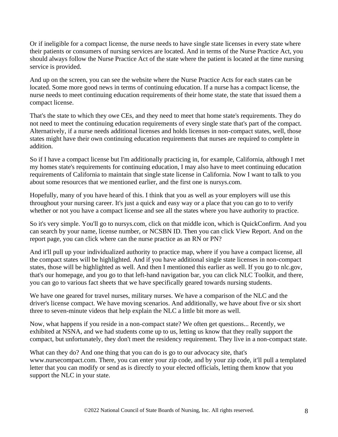Or if ineligible for a compact license, the nurse needs to have single state licenses in every state where their patients or consumers of nursing services are located. And in terms of the Nurse Practice Act, you should always follow the Nurse Practice Act of the state where the patient is located at the time nursing service is provided.

And up on the screen, you can see the website where the Nurse Practice Acts for each states can be located. Some more good news in terms of continuing education. If a nurse has a compact license, the nurse needs to meet continuing education requirements of their home state, the state that issued them a compact license.

That's the state to which they owe CEs, and they need to meet that home state's requirements. They do not need to meet the continuing education requirements of every single state that's part of the compact. Alternatively, if a nurse needs additional licenses and holds licenses in non-compact states, well, those states might have their own continuing education requirements that nurses are required to complete in addition.

So if I have a compact license but I'm additionally practicing in, for example, California, although I met my homes state's requirements for continuing education, I may also have to meet continuing education requirements of California to maintain that single state license in California. Now I want to talk to you about some resources that we mentioned earlier, and the first one is nursys.com.

Hopefully, many of you have heard of this. I think that you as well as your employers will use this throughout your nursing career. It's just a quick and easy way or a place that you can go to to verify whether or not you have a compact license and see all the states where you have authority to practice.

So it's very simple. You'll go to nursys.com, click on that middle icon, which is QuickConfirm. And you can search by your name, license number, or NCSBN ID. Then you can click View Report. And on the report page, you can click where can the nurse practice as an RN or PN?

And it'll pull up your individualized authority to practice map, where if you have a compact license, all the compact states will be highlighted. And if you have additional single state licenses in non-compact states, those will be highlighted as well. And then I mentioned this earlier as well. If you go to nlc.gov, that's our homepage, and you go to that left-hand navigation bar, you can click NLC Toolkit, and there, you can go to various fact sheets that we have specifically geared towards nursing students.

We have one geared for travel nurses, military nurses. We have a comparison of the NLC and the driver's license compact. We have moving scenarios. And additionally, we have about five or six short three to seven-minute videos that help explain the NLC a little bit more as well.

Now, what happens if you reside in a non-compact state? We often get questions... Recently, we exhibited at NSNA, and we had students come up to us, letting us know that they really support the compact, but unfortunately, they don't meet the residency requirement. They live in a non-compact state.

What can they do? And one thing that you can do is go to our advocacy site, that's www.nursecompact.com. There, you can enter your zip code, and by your zip code, it'll pull a templated letter that you can modify or send as is directly to your elected officials, letting them know that you support the NLC in your state.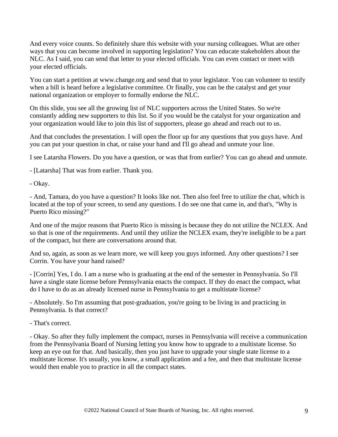And every voice counts. So definitely share this website with your nursing colleagues. What are other ways that you can become involved in supporting legislation? You can educate stakeholders about the NLC. As I said, you can send that letter to your elected officials. You can even contact or meet with your elected officials.

You can start a petition at www.change.org and send that to your legislator. You can volunteer to testify when a bill is heard before a legislative committee. Or finally, you can be the catalyst and get your national organization or employer to formally endorse the NLC.

On this slide, you see all the growing list of NLC supporters across the United States. So we're constantly adding new supporters to this list. So if you would be the catalyst for your organization and your organization would like to join this list of supporters, please go ahead and reach out to us.

And that concludes the presentation. I will open the floor up for any questions that you guys have. And you can put your question in chat, or raise your hand and I'll go ahead and unmute your line.

I see Latarsha Flowers. Do you have a question, or was that from earlier? You can go ahead and unmute.

- [Latarsha] That was from earlier. Thank you.

- Okay.

- And, Tamara, do you have a question? It looks like not. Then also feel free to utilize the chat, which is located at the top of your screen, to send any questions. I do see one that came in, and that's, "Why is Puerto Rico missing?"

And one of the major reasons that Puerto Rico is missing is because they do not utilize the NCLEX. And so that is one of the requirements. And until they utilize the NCLEX exam, they're ineligible to be a part of the compact, but there are conversations around that.

And so, again, as soon as we learn more, we will keep you guys informed. Any other questions? I see Corrin. You have your hand raised?

- [Corrin] Yes, I do. I am a nurse who is graduating at the end of the semester in Pennsylvania. So I'll have a single state license before Pennsylvania enacts the compact. If they do enact the compact, what do I have to do as an already licensed nurse in Pennsylvania to get a multistate license?

- Absolutely. So I'm assuming that post-graduation, you're going to be living in and practicing in Pennsylvania. Is that correct?

- That's correct.

- Okay. So after they fully implement the compact, nurses in Pennsylvania will receive a communication from the Pennsylvania Board of Nursing letting you know how to upgrade to a multistate license. So keep an eye out for that. And basically, then you just have to upgrade your single state license to a multistate license. It's usually, you know, a small application and a fee, and then that multistate license would then enable you to practice in all the compact states.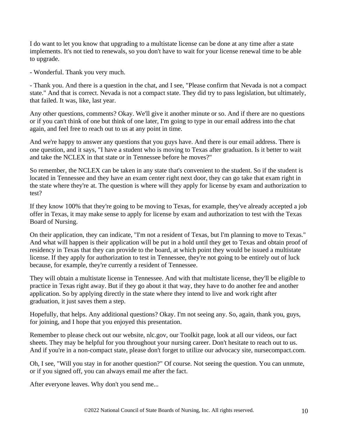I do want to let you know that upgrading to a multistate license can be done at any time after a state implements. It's not tied to renewals, so you don't have to wait for your license renewal time to be able to upgrade.

- Wonderful. Thank you very much.

- Thank you. And there is a question in the chat, and I see, "Please confirm that Nevada is not a compact state." And that is correct. Nevada is not a compact state. They did try to pass legislation, but ultimately, that failed. It was, like, last year.

Any other questions, comments? Okay. We'll give it another minute or so. And if there are no questions or if you can't think of one but think of one later, I'm going to type in our email address into the chat again, and feel free to reach out to us at any point in time.

And we're happy to answer any questions that you guys have. And there is our email address. There is one question, and it says, "I have a student who is moving to Texas after graduation. Is it better to wait and take the NCLEX in that state or in Tennessee before he moves?"

So remember, the NCLEX can be taken in any state that's convenient to the student. So if the student is located in Tennessee and they have an exam center right next door, they can go take that exam right in the state where they're at. The question is where will they apply for license by exam and authorization to test?

If they know 100% that they're going to be moving to Texas, for example, they've already accepted a job offer in Texas, it may make sense to apply for license by exam and authorization to test with the Texas Board of Nursing.

On their application, they can indicate, "I'm not a resident of Texas, but I'm planning to move to Texas." And what will happen is their application will be put in a hold until they get to Texas and obtain proof of residency in Texas that they can provide to the board, at which point they would be issued a multistate license. If they apply for authorization to test in Tennessee, they're not going to be entirely out of luck because, for example, they're currently a resident of Tennessee.

They will obtain a multistate license in Tennessee. And with that multistate license, they'll be eligible to practice in Texas right away. But if they go about it that way, they have to do another fee and another application. So by applying directly in the state where they intend to live and work right after graduation, it just saves them a step.

Hopefully, that helps. Any additional questions? Okay. I'm not seeing any. So, again, thank you, guys, for joining, and I hope that you enjoyed this presentation.

Remember to please check out our website, nlc.gov, our Toolkit page, look at all our videos, our fact sheets. They may be helpful for you throughout your nursing career. Don't hesitate to reach out to us. And if you're in a non-compact state, please don't forget to utilize our advocacy site, nursecompact.com.

Oh, I see, "Will you stay in for another question?" Of course. Not seeing the question. You can unmute, or if you signed off, you can always email me after the fact.

After everyone leaves. Why don't you send me...